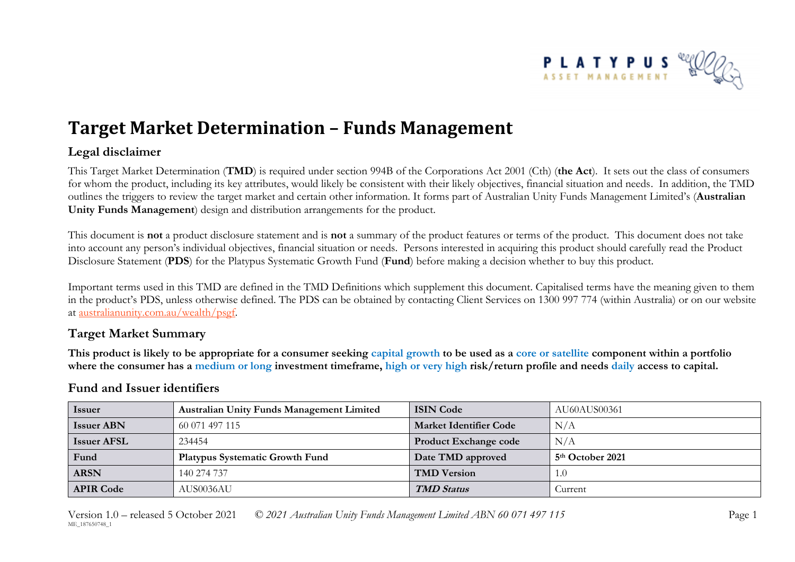

# **Target Market Determination – Funds Management**

## **Legal disclaimer**

This Target Market Determination (**TMD**) is required under section 994B of the Corporations Act 2001 (Cth) (**the Act**). It sets out the class of consumers for whom the product, including its key attributes, would likely be consistent with their likely objectives, financial situation and needs. In addition, the TMD outlines the triggers to review the target market and certain other information. It forms part of Australian Unity Funds Management Limited's (**Australian Unity Funds Management**) design and distribution arrangements for the product.

This document is **not** a product disclosure statement and is **not** a summary of the product features or terms of the product. This document does not take into account any person's individual objectives, financial situation or needs. Persons interested in acquiring this product should carefully read the Product Disclosure Statement (**PDS**) for the Platypus Systematic Growth Fund (**Fund**) before making a decision whether to buy this product.

Important terms used in this TMD are defined in the TMD Definitions which supplement this document. Capitalised terms have the meaning given to them in the product's PDS, unless otherwise defined. The PDS can be obtained by contacting Client Services on 1300 997 774 (within Australia) or on our website at [australianunity.com.au/wealth/psgf.](https://www.australianunity.com.au/wealth/~/media/publicsite/documents/funds/platypus/psgf/pds.ashx)

### **Target Market Summary**

**This product is likely to be appropriate for a consumer seeking capital growth to be used as a core or satellite component within a portfolio where the consumer has a medium or long investment timeframe, high or very high risk/return profile and needs daily access to capital.**

| <b>Issuer</b>      | <b>Australian Unity Funds Management Limited</b> | <b>ISIN Code</b>              | AU60AUS00361                 |
|--------------------|--------------------------------------------------|-------------------------------|------------------------------|
| <b>Issuer ABN</b>  | 60 071 497 115                                   | <b>Market Identifier Code</b> | N/A                          |
| <b>Issuer AFSL</b> | 234454                                           | <b>Product Exchange code</b>  | N/A                          |
| Fund               | <b>Platypus Systematic Growth Fund</b>           | Date TMD approved             | 5 <sup>th</sup> October 2021 |
| <b>ARSN</b>        | 140 274 737                                      | <b>TMD Version</b>            | 1.0                          |
| <b>APIR Code</b>   | AUS0036AU                                        | <b>TMD Status</b>             | Current                      |

## **Fund and Issuer identifiers**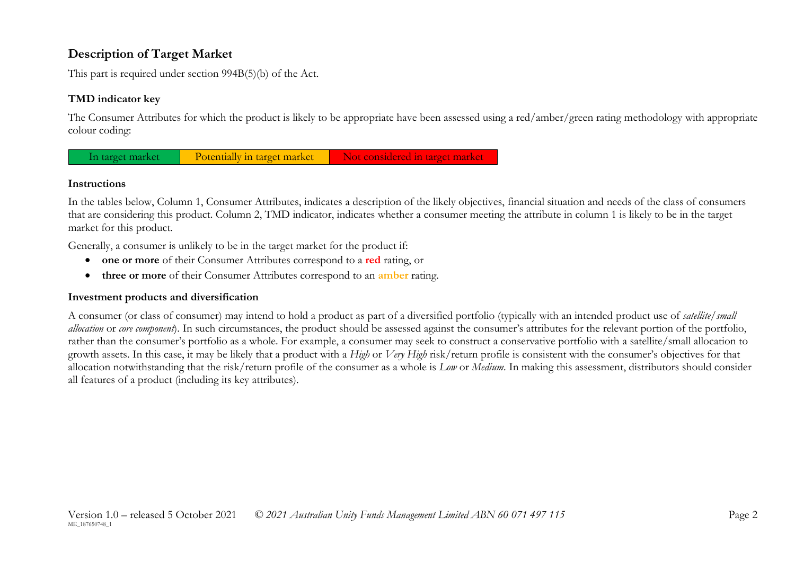# **Description of Target Market**

This part is required under section 994B(5)(b) of the Act.

### **TMD indicator key**

The Consumer Attributes for which the product is likely to be appropriate have been assessed using a red/amber/green rating methodology with appropriate colour coding:



#### **Instructions**

In the tables below, Column 1, Consumer Attributes, indicates a description of the likely objectives, financial situation and needs of the class of consumers that are considering this product. Column 2, TMD indicator, indicates whether a consumer meeting the attribute in column 1 is likely to be in the target market for this product.

Generally, a consumer is unlikely to be in the target market for the product if:

- **one or more** of their Consumer Attributes correspond to a **red** rating, or
- **three or more** of their Consumer Attributes correspond to an **amber** rating.

#### **Investment products and diversification**

A consumer (or class of consumer) may intend to hold a product as part of a diversified portfolio (typically with an intended product use of *satellite/small allocation* or *core component*). In such circumstances, the product should be assessed against the consumer's attributes for the relevant portion of the portfolio, rather than the consumer's portfolio as a whole. For example, a consumer may seek to construct a conservative portfolio with a satellite/small allocation to growth assets. In this case, it may be likely that a product with a *High* or *Very High* risk/return profile is consistent with the consumer's objectives for that allocation notwithstanding that the risk/return profile of the consumer as a whole is *Low* or *Medium*. In making this assessment, distributors should consider all features of a product (including its key attributes).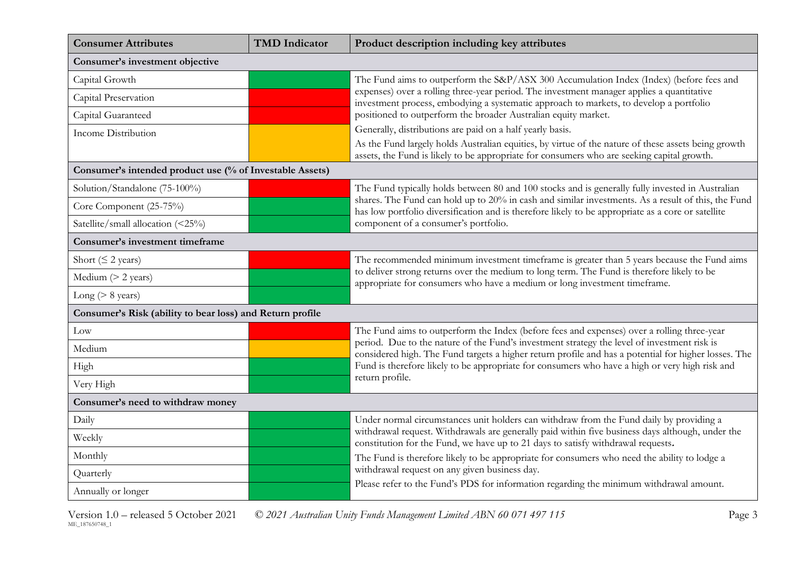| <b>Consumer Attributes</b>                                | <b>TMD</b> Indicator | Product description including key attributes                                                                                                                                                             |
|-----------------------------------------------------------|----------------------|----------------------------------------------------------------------------------------------------------------------------------------------------------------------------------------------------------|
| Consumer's investment objective                           |                      |                                                                                                                                                                                                          |
| Capital Growth                                            |                      | The Fund aims to outperform the S&P/ASX 300 Accumulation Index (Index) (before fees and                                                                                                                  |
| Capital Preservation                                      |                      | expenses) over a rolling three-year period. The investment manager applies a quantitative<br>investment process, embodying a systematic approach to markets, to develop a portfolio                      |
| Capital Guaranteed                                        |                      | positioned to outperform the broader Australian equity market.                                                                                                                                           |
| <b>Income Distribution</b>                                |                      | Generally, distributions are paid on a half yearly basis.                                                                                                                                                |
|                                                           |                      | As the Fund largely holds Australian equities, by virtue of the nature of these assets being growth<br>assets, the Fund is likely to be appropriate for consumers who are seeking capital growth.        |
| Consumer's intended product use (% of Investable Assets)  |                      |                                                                                                                                                                                                          |
| Solution/Standalone (75-100%)                             |                      | The Fund typically holds between 80 and 100 stocks and is generally fully invested in Australian                                                                                                         |
| Core Component (25-75%)                                   |                      | shares. The Fund can hold up to 20% in cash and similar investments. As a result of this, the Fund<br>has low portfolio diversification and is therefore likely to be appropriate as a core or satellite |
| Satellite/small allocation (<25%)                         |                      | component of a consumer's portfolio.                                                                                                                                                                     |
| Consumer's investment timeframe                           |                      |                                                                                                                                                                                                          |
| Short ( $\leq$ 2 years)                                   |                      | The recommended minimum investment timeframe is greater than 5 years because the Fund aims                                                                                                               |
| Medium (> 2 years)                                        |                      | to deliver strong returns over the medium to long term. The Fund is therefore likely to be<br>appropriate for consumers who have a medium or long investment timeframe.                                  |
| Long ( $> 8$ years)                                       |                      |                                                                                                                                                                                                          |
| Consumer's Risk (ability to bear loss) and Return profile |                      |                                                                                                                                                                                                          |
| Low                                                       |                      | The Fund aims to outperform the Index (before fees and expenses) over a rolling three-year                                                                                                               |
| Medium                                                    |                      | period. Due to the nature of the Fund's investment strategy the level of investment risk is<br>considered high. The Fund targets a higher return profile and has a potential for higher losses. The      |
| High                                                      |                      | Fund is therefore likely to be appropriate for consumers who have a high or very high risk and                                                                                                           |
| Very High                                                 |                      | return profile.                                                                                                                                                                                          |
| Consumer's need to withdraw money                         |                      |                                                                                                                                                                                                          |
| Daily                                                     |                      | Under normal circumstances unit holders can withdraw from the Fund daily by providing a                                                                                                                  |
| Weekly                                                    |                      | withdrawal request. Withdrawals are generally paid within five business days although, under the<br>constitution for the Fund, we have up to 21 days to satisfy withdrawal requests.                     |
| Monthly                                                   |                      | The Fund is therefore likely to be appropriate for consumers who need the ability to lodge a                                                                                                             |
| Quarterly                                                 |                      | withdrawal request on any given business day.<br>Please refer to the Fund's PDS for information regarding the minimum withdrawal amount.                                                                 |
| Annually or longer                                        |                      |                                                                                                                                                                                                          |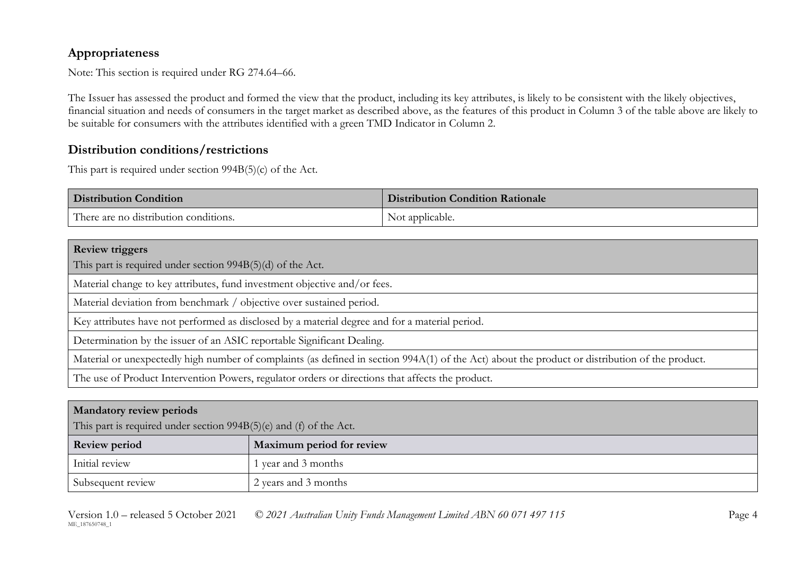# **Appropriateness**

Note: This section is required under RG 274.64–66.

The Issuer has assessed the product and formed the view that the product, including its key attributes, is likely to be consistent with the likely objectives, financial situation and needs of consumers in the target market as described above, as the features of this product in Column 3 of the table above are likely to be suitable for consumers with the attributes identified with a green TMD Indicator in Column 2.

## **Distribution conditions/restrictions**

This part is required under section 994B(5)(c) of the Act.

| <b>Distribution Condition</b>         | <b>Distribution Condition Rationale</b> |
|---------------------------------------|-----------------------------------------|
| There are no distribution conditions. | Not applicable.                         |

| <b>Review triggers</b>                                                                                                                          |
|-------------------------------------------------------------------------------------------------------------------------------------------------|
| This part is required under section 994B(5)(d) of the Act.                                                                                      |
| Material change to key attributes, fund investment objective and/or fees.                                                                       |
| Material deviation from benchmark / objective over sustained period.                                                                            |
| Key attributes have not performed as disclosed by a material degree and for a material period.                                                  |
| Determination by the issuer of an ASIC reportable Significant Dealing.                                                                          |
| Material or unexpectedly high number of complaints (as defined in section 994A(1) of the Act) about the product or distribution of the product. |
| The use of Product Intervention Powers, regulator orders or directions that affects the product.                                                |

| <b>Mandatory review periods</b>                                      |                           |  |
|----------------------------------------------------------------------|---------------------------|--|
| This part is required under section $994B(5)(e)$ and (f) of the Act. |                           |  |
| <b>Review period</b>                                                 | Maximum period for review |  |
| Initial review                                                       | year and 3 months         |  |
| Subsequent review                                                    | 2 years and 3 months      |  |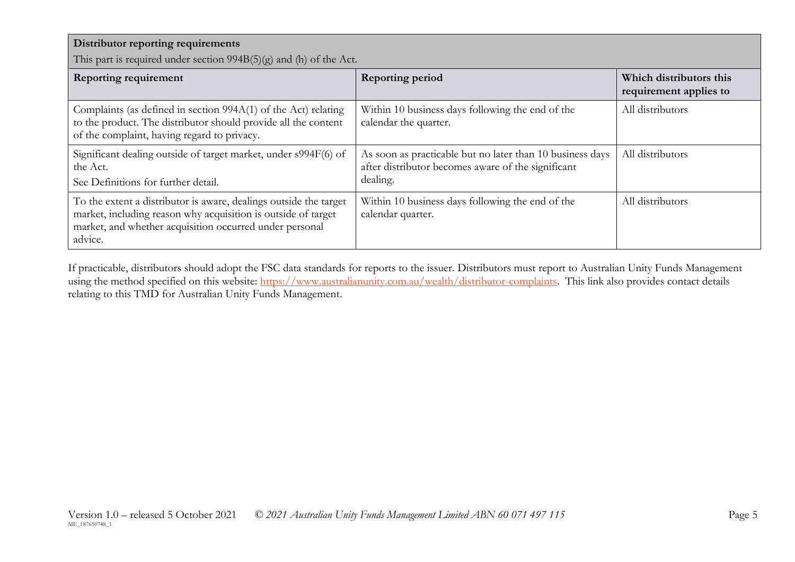| Distributor reporting requirements<br>This part is required under section 994B(5)(g) and (h) of the Act.                                                                                                 |                                                                                                                             |                                                   |  |
|----------------------------------------------------------------------------------------------------------------------------------------------------------------------------------------------------------|-----------------------------------------------------------------------------------------------------------------------------|---------------------------------------------------|--|
| <b>Reporting requirement</b>                                                                                                                                                                             | <b>Reporting period</b>                                                                                                     | Which distributors this<br>requirement applies to |  |
| Complaints (as defined in section 994A(1) of the Act) relating<br>to the product. The distributor should provide all the content<br>of the complaint, having regard to privacy.                          | Within 10 business days following the end of the<br>calendar the quarter.                                                   | All distributors                                  |  |
| Significant dealing outside of target market, under s994F(6) of<br>the Act.<br>See Definitions for further detail.                                                                                       | As soon as practicable but no later than 10 business days<br>after distributor becomes aware of the significant<br>dealing. | All distributors                                  |  |
| To the extent a distributor is aware, dealings outside the target<br>market, including reason why acquisition is outside of target<br>market, and whether acquisition occurred under personal<br>advice. | Within 10 business days following the end of the<br>calendar quarter.                                                       | All distributors                                  |  |

If practicable, distributors should adopt the FSC data standards for reports to the issuer. Distributors must report to Australian Unity Funds Management using the method specified on this website: [https://www.australianunity.com.au/wealth/distributor-complaints.](https://www.australianunity.com.au/wealth/distributor-complaints) This link also provides contact details relating to this TMD for Australian Unity Funds Management.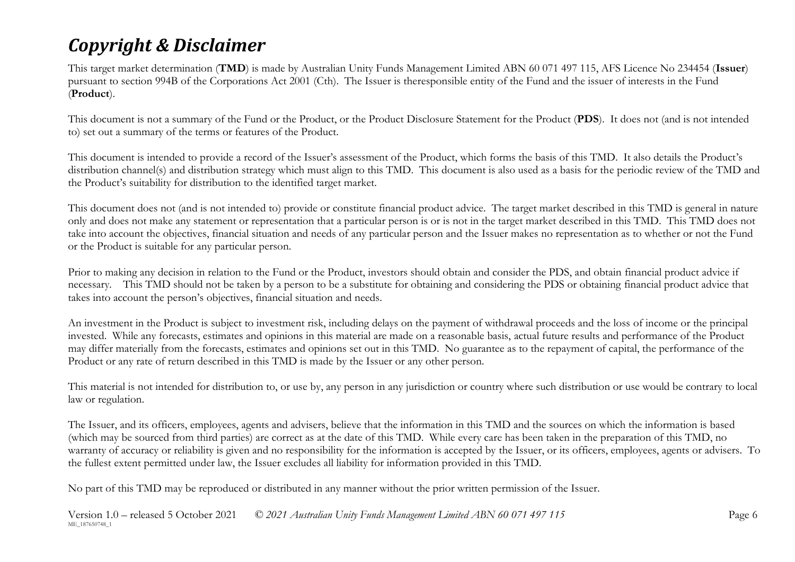# *Copyright & Disclaimer*

This target market determination (**TMD**) is made by Australian Unity Funds Management Limited ABN 60 071 497 115, AFS Licence No 234454 (**Issuer**) pursuant to section 994B of the Corporations Act 2001 (Cth). The Issuer is theresponsible entity of the Fund and the issuer of interests in the Fund (**Product**).

This document is not a summary of the Fund or the Product, or the Product Disclosure Statement for the Product (**PDS**). It does not (and is not intended to) set out a summary of the terms or features of the Product.

This document is intended to provide a record of the Issuer's assessment of the Product, which forms the basis of this TMD. It also details the Product's distribution channel(s) and distribution strategy which must align to this TMD. This document is also used as a basis for the periodic review of the TMD and the Product's suitability for distribution to the identified target market.

This document does not (and is not intended to) provide or constitute financial product advice. The target market described in this TMD is general in nature only and does not make any statement or representation that a particular person is or is not in the target market described in this TMD. This TMD does not take into account the objectives, financial situation and needs of any particular person and the Issuer makes no representation as to whether or not the Fund or the Product is suitable for any particular person.

Prior to making any decision in relation to the Fund or the Product, investors should obtain and consider the PDS, and obtain financial product advice if necessary. This TMD should not be taken by a person to be a substitute for obtaining and considering the PDS or obtaining financial product advice that takes into account the person's objectives, financial situation and needs.

An investment in the Product is subject to investment risk, including delays on the payment of withdrawal proceeds and the loss of income or the principal invested. While any forecasts, estimates and opinions in this material are made on a reasonable basis, actual future results and performance of the Product may differ materially from the forecasts, estimates and opinions set out in this TMD. No guarantee as to the repayment of capital, the performance of the Product or any rate of return described in this TMD is made by the Issuer or any other person.

This material is not intended for distribution to, or use by, any person in any jurisdiction or country where such distribution or use would be contrary to local law or regulation.

The Issuer, and its officers, employees, agents and advisers, believe that the information in this TMD and the sources on which the information is based (which may be sourced from third parties) are correct as at the date of this TMD. While every care has been taken in the preparation of this TMD, no warranty of accuracy or reliability is given and no responsibility for the information is accepted by the Issuer, or its officers, employees, agents or advisers. To the fullest extent permitted under law, the Issuer excludes all liability for information provided in this TMD.

No part of this TMD may be reproduced or distributed in any manner without the prior written permission of the Issuer.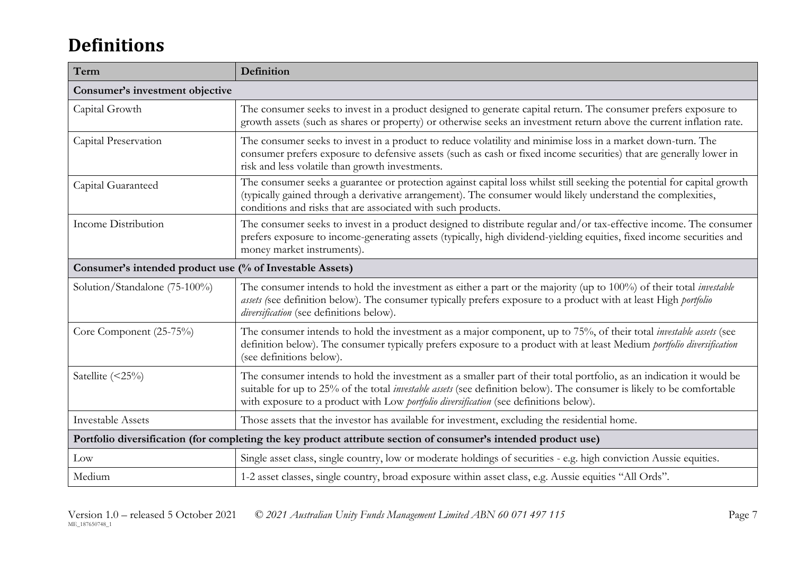# **Definitions**

| Term                                                     | Definition                                                                                                                                                                                                                                                                                                                                      |  |
|----------------------------------------------------------|-------------------------------------------------------------------------------------------------------------------------------------------------------------------------------------------------------------------------------------------------------------------------------------------------------------------------------------------------|--|
| Consumer's investment objective                          |                                                                                                                                                                                                                                                                                                                                                 |  |
| Capital Growth                                           | The consumer seeks to invest in a product designed to generate capital return. The consumer prefers exposure to<br>growth assets (such as shares or property) or otherwise seeks an investment return above the current inflation rate.                                                                                                         |  |
| Capital Preservation                                     | The consumer seeks to invest in a product to reduce volatility and minimise loss in a market down-turn. The<br>consumer prefers exposure to defensive assets (such as cash or fixed income securities) that are generally lower in<br>risk and less volatile than growth investments.                                                           |  |
| Capital Guaranteed                                       | The consumer seeks a guarantee or protection against capital loss whilst still seeking the potential for capital growth<br>(typically gained through a derivative arrangement). The consumer would likely understand the complexities,<br>conditions and risks that are associated with such products.                                          |  |
| Income Distribution                                      | The consumer seeks to invest in a product designed to distribute regular and/or tax-effective income. The consumer<br>prefers exposure to income-generating assets (typically, high dividend-yielding equities, fixed income securities and<br>money market instruments).                                                                       |  |
| Consumer's intended product use (% of Investable Assets) |                                                                                                                                                                                                                                                                                                                                                 |  |
| Solution/Standalone (75-100%)                            | The consumer intends to hold the investment as either a part or the majority (up to 100%) of their total <i>investable</i><br>assets (see definition below). The consumer typically prefers exposure to a product with at least High portfolio<br>diversification (see definitions below).                                                      |  |
| Core Component (25-75%)                                  | The consumer intends to hold the investment as a major component, up to 75%, of their total <i>investable assets</i> (see<br>definition below). The consumer typically prefers exposure to a product with at least Medium portfolio diversification<br>(see definitions below).                                                                 |  |
| Satellite (<25%)                                         | The consumer intends to hold the investment as a smaller part of their total portfolio, as an indication it would be<br>suitable for up to 25% of the total <i>investable assets</i> (see definition below). The consumer is likely to be comfortable<br>with exposure to a product with Low portfolio diversification (see definitions below). |  |
| <b>Investable Assets</b>                                 | Those assets that the investor has available for investment, excluding the residential home.                                                                                                                                                                                                                                                    |  |
|                                                          | Portfolio diversification (for completing the key product attribute section of consumer's intended product use)                                                                                                                                                                                                                                 |  |
| Low                                                      | Single asset class, single country, low or moderate holdings of securities - e.g. high conviction Aussie equities.                                                                                                                                                                                                                              |  |
| Medium                                                   | 1-2 asset classes, single country, broad exposure within asset class, e.g. Aussie equities "All Ords".                                                                                                                                                                                                                                          |  |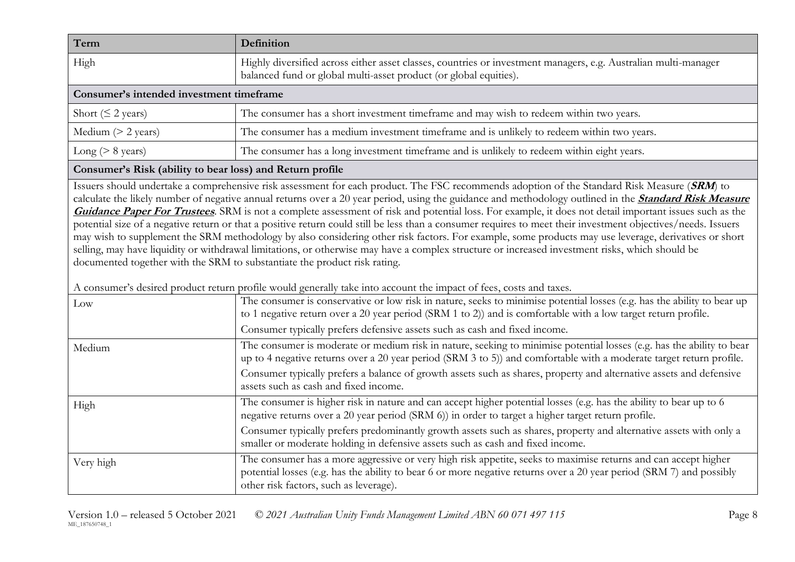| Term                                     | Definition                                                                                                                                                                           |  |
|------------------------------------------|--------------------------------------------------------------------------------------------------------------------------------------------------------------------------------------|--|
| High                                     | Highly diversified across either asset classes, countries or investment managers, e.g. Australian multi-manager<br>balanced fund or global multi-asset product (or global equities). |  |
| Consumer's intended investment timeframe |                                                                                                                                                                                      |  |
| Short ( $\leq$ 2 years)                  | The consumer has a short investment timeframe and may wish to redeem within two years.                                                                                               |  |
| Medium $(> 2$ years)                     | The consumer has a medium investment timeframe and is unlikely to redeem within two years.                                                                                           |  |
| Long ( $> 8$ years)                      | The consumer has a long investment timeframe and is unlikely to redeem within eight years.                                                                                           |  |

#### **Consumer's Risk (ability to bear loss) and Return profile**

Issuers should undertake a comprehensive risk assessment for each product. The FSC recommends adoption of the Standard Risk Measure (**SRM**) to calculate the likely number of negative annual returns over a 20 year period, using the guidance and methodology outlined in the **[Standard Risk Measure](https://protect-eu.mimecast.com/s/pqPaCwVNmtGRQpvMFVpVgu?domain=urldefense.com)  [Guidance Paper For Trustees](https://protect-eu.mimecast.com/s/pqPaCwVNmtGRQpvMFVpVgu?domain=urldefense.com)**. SRM is not a complete assessment of risk and potential loss. For example, it does not detail important issues such as the potential size of a negative return or that a positive return could still be less than a consumer requires to meet their investment objectives/needs. Issuers may wish to supplement the SRM methodology by also considering other risk factors. For example, some products may use leverage, derivatives or short selling, may have liquidity or withdrawal limitations, or otherwise may have a complex structure or increased investment risks, which should be documented together with the SRM to substantiate the product risk rating.

A consumer's desired product return profile would generally take into account the impact of fees, costs and taxes.

| Low       | The consumer is conservative or low risk in nature, seeks to minimise potential losses (e.g. has the ability to bear up<br>to 1 negative return over a 20 year period (SRM 1 to 2)) and is comfortable with a low target return profile.                                         |
|-----------|----------------------------------------------------------------------------------------------------------------------------------------------------------------------------------------------------------------------------------------------------------------------------------|
|           | Consumer typically prefers defensive assets such as cash and fixed income.                                                                                                                                                                                                       |
| Medium    | The consumer is moderate or medium risk in nature, seeking to minimise potential losses (e.g. has the ability to bear<br>up to 4 negative returns over a 20 year period (SRM 3 to 5)) and comfortable with a moderate target return profile.                                     |
|           | Consumer typically prefers a balance of growth assets such as shares, property and alternative assets and defensive<br>assets such as cash and fixed income.                                                                                                                     |
| High      | The consumer is higher risk in nature and can accept higher potential losses (e.g. has the ability to bear up to 6<br>negative returns over a 20 year period (SRM 6)) in order to target a higher target return profile.                                                         |
|           | Consumer typically prefers predominantly growth assets such as shares, property and alternative assets with only a<br>smaller or moderate holding in defensive assets such as cash and fixed income.                                                                             |
| Very high | The consumer has a more aggressive or very high risk appetite, seeks to maximise returns and can accept higher<br>potential losses (e.g. has the ability to bear 6 or more negative returns over a 20 year period (SRM 7) and possibly<br>other risk factors, such as leverage). |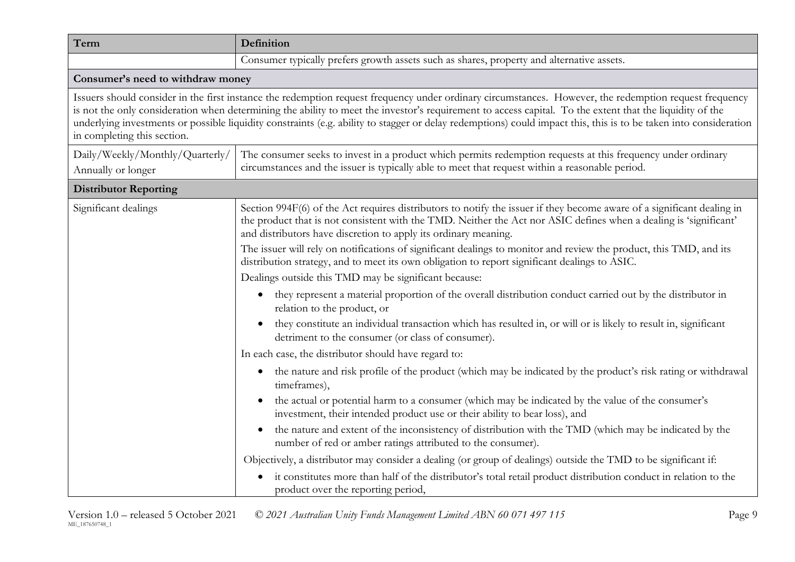| Term                                                  | Definition                                                                                                                                                                                                                                                                                                                                                                                                                                                                              |
|-------------------------------------------------------|-----------------------------------------------------------------------------------------------------------------------------------------------------------------------------------------------------------------------------------------------------------------------------------------------------------------------------------------------------------------------------------------------------------------------------------------------------------------------------------------|
|                                                       | Consumer typically prefers growth assets such as shares, property and alternative assets.                                                                                                                                                                                                                                                                                                                                                                                               |
| Consumer's need to withdraw money                     |                                                                                                                                                                                                                                                                                                                                                                                                                                                                                         |
| in completing this section.                           | Issuers should consider in the first instance the redemption request frequency under ordinary circumstances. However, the redemption request frequency<br>is not the only consideration when determining the ability to meet the investor's requirement to access capital. To the extent that the liquidity of the<br>underlying investments or possible liquidity constraints (e.g. ability to stagger or delay redemptions) could impact this, this is to be taken into consideration |
| Daily/Weekly/Monthly/Quarterly/<br>Annually or longer | The consumer seeks to invest in a product which permits redemption requests at this frequency under ordinary<br>circumstances and the issuer is typically able to meet that request within a reasonable period.                                                                                                                                                                                                                                                                         |
| <b>Distributor Reporting</b>                          |                                                                                                                                                                                                                                                                                                                                                                                                                                                                                         |
| Significant dealings                                  | Section 994F(6) of the Act requires distributors to notify the issuer if they become aware of a significant dealing in<br>the product that is not consistent with the TMD. Neither the Act nor ASIC defines when a dealing is 'significant'<br>and distributors have discretion to apply its ordinary meaning.                                                                                                                                                                          |
|                                                       | The issuer will rely on notifications of significant dealings to monitor and review the product, this TMD, and its<br>distribution strategy, and to meet its own obligation to report significant dealings to ASIC.                                                                                                                                                                                                                                                                     |
|                                                       | Dealings outside this TMD may be significant because:                                                                                                                                                                                                                                                                                                                                                                                                                                   |
|                                                       | they represent a material proportion of the overall distribution conduct carried out by the distributor in<br>$\bullet$<br>relation to the product, or                                                                                                                                                                                                                                                                                                                                  |
|                                                       | they constitute an individual transaction which has resulted in, or will or is likely to result in, significant<br>$\bullet$<br>detriment to the consumer (or class of consumer).                                                                                                                                                                                                                                                                                                       |
|                                                       | In each case, the distributor should have regard to:                                                                                                                                                                                                                                                                                                                                                                                                                                    |
|                                                       | the nature and risk profile of the product (which may be indicated by the product's risk rating or withdrawal<br>$\bullet$<br>timeframes),                                                                                                                                                                                                                                                                                                                                              |
|                                                       | the actual or potential harm to a consumer (which may be indicated by the value of the consumer's<br>investment, their intended product use or their ability to bear loss), and                                                                                                                                                                                                                                                                                                         |
|                                                       | the nature and extent of the inconsistency of distribution with the TMD (which may be indicated by the<br>$\bullet$<br>number of red or amber ratings attributed to the consumer).                                                                                                                                                                                                                                                                                                      |
|                                                       | Objectively, a distributor may consider a dealing (or group of dealings) outside the TMD to be significant if:                                                                                                                                                                                                                                                                                                                                                                          |
|                                                       | it constitutes more than half of the distributor's total retail product distribution conduct in relation to the<br>product over the reporting period,                                                                                                                                                                                                                                                                                                                                   |